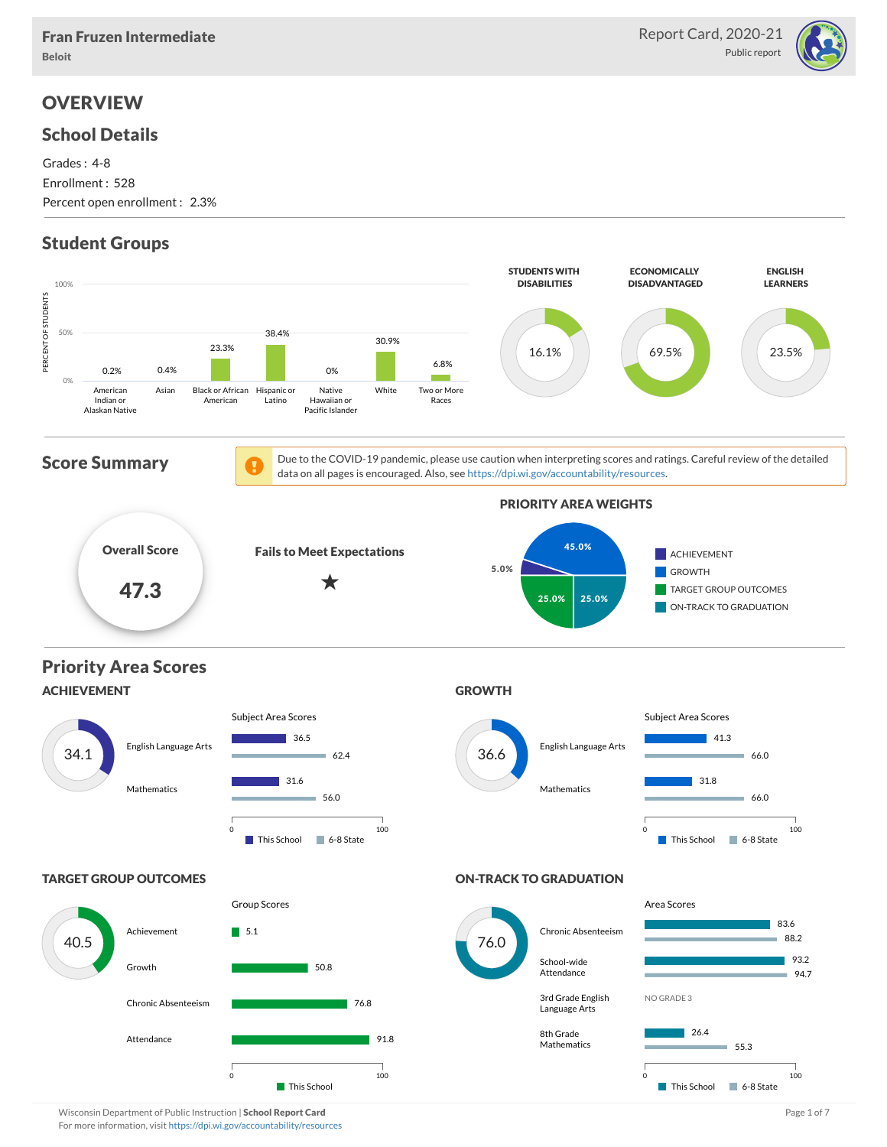

### **OVERVIEW**

### School Details

Grades : 4-8 Enrollment : 528 Percent open enrollment : 2.3%

### Student Groups



Wisconsin Department of Public Instruction | School Report Card Page 1 of 7 and 2008 and 2008 and Page 1 of 7 For more information, visit <https://dpi.wi.gov/accountability/resources>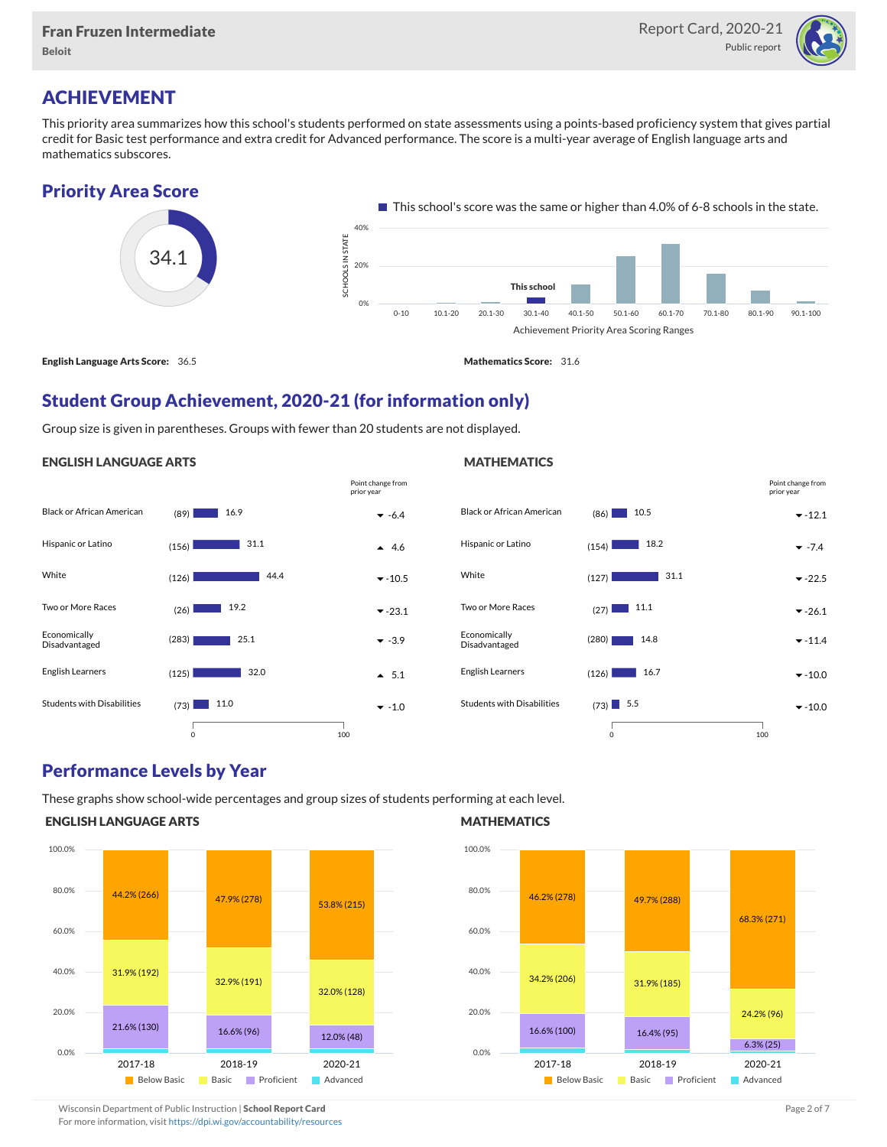

### ACHIEVEMENT

This priority area summarizes how this school's students performed on state assessments using a points-based proficiency system that gives partial credit for Basic test performance and extra credit for Advanced performance. The score is a multi-year average of English language arts and mathematics subscores.

#### Priority Area Score 34.1  $\blacksquare$  This school's score was the same or higher than 4.0% of 6-8 schools in the state. Achievement Priority Area Scoring Ranges SCHO OLS IN STATE<br>|<br>| 2 0-10 10.1-20 20.1-30 30.1-40 40.1-50 50.1-60 60.1-70 70.1-80 80.1-90 90.1-100 0% 20% 40% This school

English Language Arts Score: 36.5 Mathematics Score: 31.6

### Student Group Achievement, 2020-21 (for information only)

Group size is given in parentheses. Groups with fewer than 20 students are not displayed.

#### ENGLISH LANGUAGE ARTS





### Performance Levels by Year

These graphs show school-wide percentages and group sizes of students performing at each level.

#### ENGLISH LANGUAGE ARTS



#### **MATHEMATICS**



Wisconsin Department of Public Instruction | School Report Card Page 2 of 7 and 2008 and 2009 and 2 of 7 and 2 of 7

For more information, visit <https://dpi.wi.gov/accountability/resources>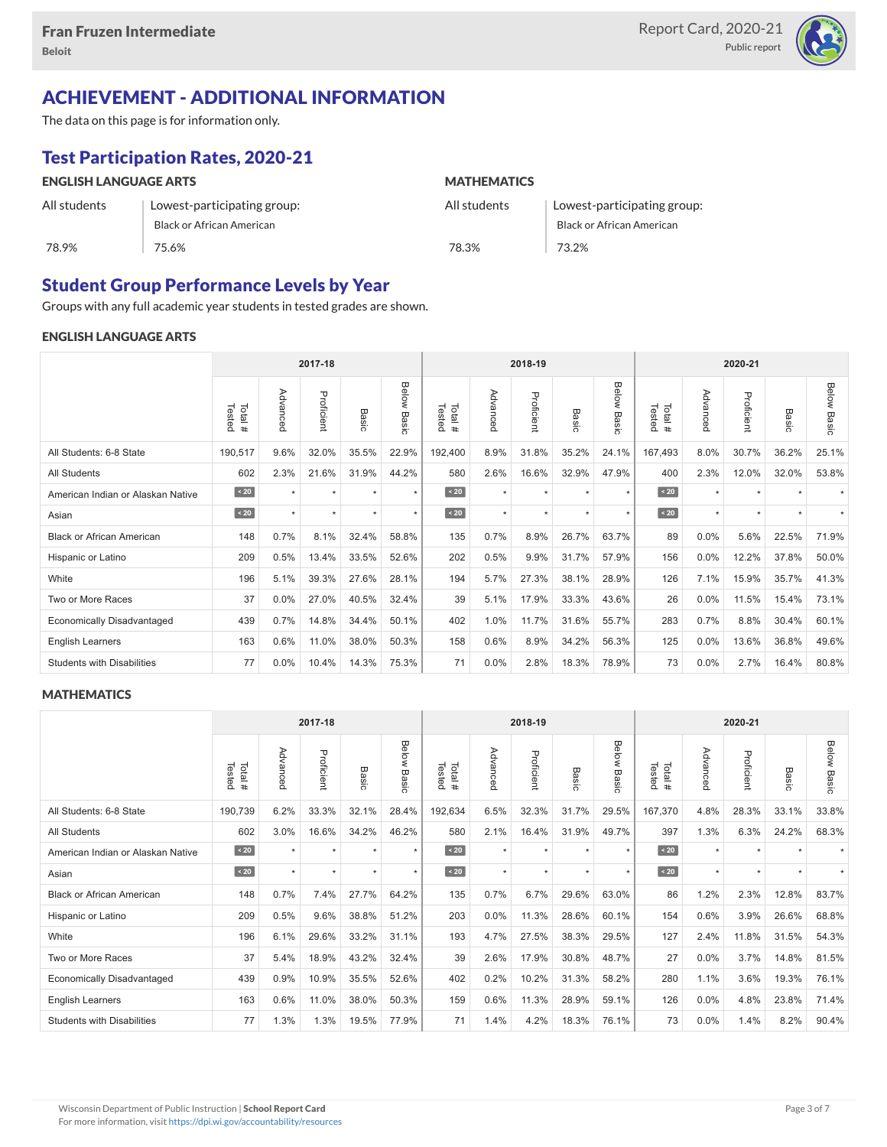

### ACHIEVEMENT - ADDITIONAL INFORMATION

The data on this page is for information only.

## Test Participation Rates, 2020-21

| <b>ENGLISH LANGUAGE ARTS</b> |                             | <b>MATHEMATICS</b> |                             |  |  |  |  |  |
|------------------------------|-----------------------------|--------------------|-----------------------------|--|--|--|--|--|
| All students                 | Lowest-participating group: | All students       | Lowest-participating group: |  |  |  |  |  |
|                              | Black or African American   |                    | Black or African American   |  |  |  |  |  |
| 78.9%                        | 75.6%                       | 78.3%              | 73.2%                       |  |  |  |  |  |

### Student Group Performance Levels by Year

Groups with any full academic year students in tested grades are shown.

### ENGLISH LANGUAGE ARTS

|                                   |                  |           | 2017-18    |         |                | 2018-19<br>2020-21 |          |            |                      |                |                  |          |            |           |                    |
|-----------------------------------|------------------|-----------|------------|---------|----------------|--------------------|----------|------------|----------------------|----------------|------------------|----------|------------|-----------|--------------------|
|                                   | Tested<br>Total# | Advanced  | Proficient | Basic   | Below<br>Basic | Tested<br>Total#   | Advanced | Proficient | Basic                | Below<br>Basic | Tested<br>Total# | Advanced | Proficient | Basic     | <b>Below Basic</b> |
| All Students: 6-8 State           | 190,517          | 9.6%      | 32.0%      | 35.5%   | 22.9%          | 192,400            | 8.9%     | 31.8%      | 35.2%                | 24.1%          | 167,493          | 8.0%     | 30.7%      | 36.2%     | 25.1%              |
| <b>All Students</b>               | 602              | 2.3%      | 21.6%      | 31.9%   | 44.2%          | 580                | 2.6%     | 16.6%      | 32.9%                | 47.9%          | 400              | 2.3%     | 12.0%      | 32.0%     | 53.8%              |
| American Indian or Alaskan Native | $\angle 20$      | $\ddot{}$ | $\star$    | ٠       | $\star$        | $\sim 20$          | $\star$  | $\star$    | $\ddot{\phantom{1}}$ | $\star$        | $\sim 20$        | $\star$  | $\star$    |           |                    |
| Asian                             | $\sim 20$        | $\star$   | $\star$    | $\star$ | $\star$        | $\angle 20$        | $\star$  | $\star$    | $\ddot{}$            | $\star$        | $\angle 20$      | $\star$  | $\star$    | $\ddot{}$ |                    |
| <b>Black or African American</b>  | 148              | 0.7%      | 8.1%       | 32.4%   | 58.8%          | 135                | 0.7%     | 8.9%       | 26.7%                | 63.7%          | 89               | 0.0%     | 5.6%       | 22.5%     | 71.9%              |
| Hispanic or Latino                | 209              | 0.5%      | 13.4%      | 33.5%   | 52.6%          | 202                | 0.5%     | 9.9%       | 31.7%                | 57.9%          | 156              | 0.0%     | 12.2%      | 37.8%     | 50.0%              |
| White                             | 196              | 5.1%      | 39.3%      | 27.6%   | 28.1%          | 194                | 5.7%     | 27.3%      | 38.1%                | 28.9%          | 126              | 7.1%     | 15.9%      | 35.7%     | 41.3%              |
| Two or More Races                 | 37               | 0.0%      | 27.0%      | 40.5%   | 32.4%          | 39                 | 5.1%     | 17.9%      | 33.3%                | 43.6%          | 26               | 0.0%     | 11.5%      | 15.4%     | 73.1%              |
| <b>Economically Disadvantaged</b> | 439              | 0.7%      | 14.8%      | 34.4%   | 50.1%          | 402                | 1.0%     | 11.7%      | 31.6%                | 55.7%          | 283              | 0.7%     | 8.8%       | 30.4%     | 60.1%              |
| <b>English Learners</b>           | 163              | 0.6%      | 11.0%      | 38.0%   | 50.3%          | 158                | 0.6%     | 8.9%       | 34.2%                | 56.3%          | 125              | 0.0%     | 13.6%      | 36.8%     | 49.6%              |
| <b>Students with Disabilities</b> | 77               | 0.0%      | 10.4%      | 14.3%   | 75.3%          | 71                 | 0.0%     | 2.8%       | 18.3%                | 78.9%          | 73               | $0.0\%$  | 2.7%       | 16.4%     | 80.8%              |

#### **MATHEMATICS**

|                                   |                  |           | 2017-18    |         |                | 2018-19<br>2020-21 |          |            |                      |                |                  |          |            |           |                    |
|-----------------------------------|------------------|-----------|------------|---------|----------------|--------------------|----------|------------|----------------------|----------------|------------------|----------|------------|-----------|--------------------|
|                                   | Tested<br>Total# | Advanced  | Proficient | Basic   | Below<br>Basic | Tested<br>Total#   | Advanced | Proficient | Basic                | Below<br>Basic | Tested<br>Total# | Advanced | Proficient | Basic     | <b>Below Basic</b> |
| All Students: 6-8 State           | 190,739          | 6.2%      | 33.3%      | 32.1%   | 28.4%          | 192,634            | 6.5%     | 32.3%      | 31.7%                | 29.5%          | 167,370          | 4.8%     | 28.3%      | 33.1%     | 33.8%              |
| <b>All Students</b>               | 602              | 3.0%      | 16.6%      | 34.2%   | 46.2%          | 580                | 2.1%     | 16.4%      | 31.9%                | 49.7%          | 397              | 1.3%     | 6.3%       | 24.2%     | 68.3%              |
| American Indian or Alaskan Native | $\overline{20}$  | $\ddot{}$ | $\star$    | ٠       | $\star$        | $\angle 20$        | $\star$  | $\star$    | $\ddot{\phantom{1}}$ | $\star$        | $\vert$ < 20     | $\star$  | $\star$    |           |                    |
| Asian                             | $\sim 20$        | $\ddot{}$ | $\star$    | $\star$ | $\star$        | $\angle 20$        | $\star$  | $\star$    | $\star$              | $\star$        | $\angle 20$      | $\star$  | $\star$    | $\ddot{}$ |                    |
| <b>Black or African American</b>  | 148              | 0.7%      | 7.4%       | 27.7%   | 64.2%          | 135                | 0.7%     | 6.7%       | 29.6%                | 63.0%          | 86               | 1.2%     | 2.3%       | 12.8%     | 83.7%              |
| Hispanic or Latino                | 209              | 0.5%      | 9.6%       | 38.8%   | 51.2%          | 203                | 0.0%     | 11.3%      | 28.6%                | 60.1%          | 154              | 0.6%     | 3.9%       | 26.6%     | 68.8%              |
| White                             | 196              | 6.1%      | 29.6%      | 33.2%   | 31.1%          | 193                | 4.7%     | 27.5%      | 38.3%                | 29.5%          | 127              | 2.4%     | 11.8%      | 31.5%     | 54.3%              |
| Two or More Races                 | 37               | 5.4%      | 18.9%      | 43.2%   | 32.4%          | 39                 | 2.6%     | 17.9%      | 30.8%                | 48.7%          | 27               | 0.0%     | 3.7%       | 14.8%     | 81.5%              |
| <b>Economically Disadvantaged</b> | 439              | 0.9%      | 10.9%      | 35.5%   | 52.6%          | 402                | 0.2%     | 10.2%      | 31.3%                | 58.2%          | 280              | 1.1%     | 3.6%       | 19.3%     | 76.1%              |
| English Learners                  | 163              | 0.6%      | 11.0%      | 38.0%   | 50.3%          | 159                | 0.6%     | 11.3%      | 28.9%                | 59.1%          | 126              | 0.0%     | 4.8%       | 23.8%     | 71.4%              |
| <b>Students with Disabilities</b> | 77               | 1.3%      | 1.3%       | 19.5%   | 77.9%          | 71                 | 1.4%     | 4.2%       | 18.3%                | 76.1%          | 73               | 0.0%     | 1.4%       | 8.2%      | 90.4%              |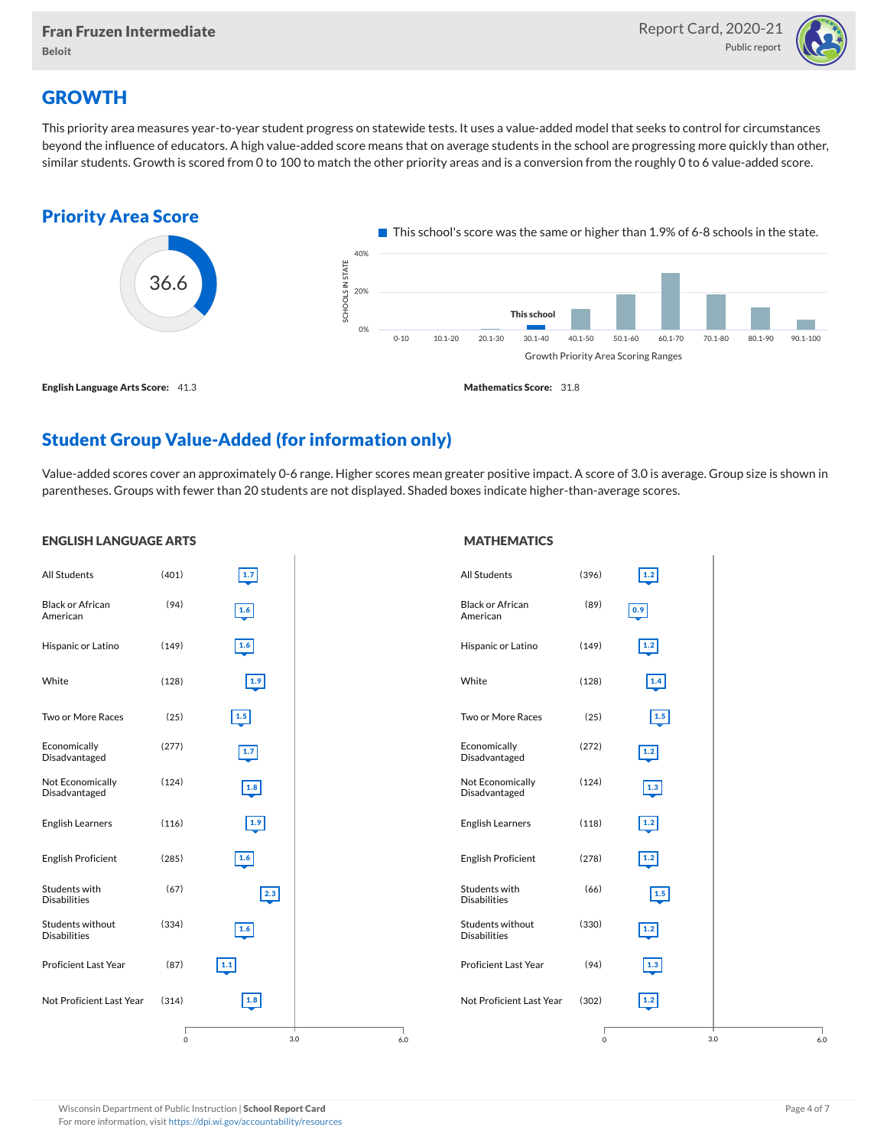

### **GROWTH**

This priority area measures year-to-year student progress on statewide tests. It uses a value-added model that seeks to control for circumstances beyond the influence of educators. A high value-added score means that on average students in the school are progressing more quickly than other, similar students. Growth is scored from 0 to 100 to match the other priority areas and is a conversion from the roughly 0 to 6 value-added score.



### Student Group Value-Added (for information only)

Value-added scores cover an approximately 0-6 range. Higher scores mean greater positive impact. A score of 3.0 is average. Group size is shown in parentheses. Groups with fewer than 20 students are not displayed. Shaded boxes indicate higher-than-average scores.

#### All Students (401) Black or African American (94) Hispanic or Latino (149) White (128) Two or More Races (25) Economically Disadvantaged (277) Not Economically Disadvantaged (124) English Learners (116) English Proficient (285) Students with Disabilities (67) Students without Disabilities (334) Proficient Last Year (87) Not Proficient Last Year (314) 3.0 1.7 1.6 1.6 1.9 1.5  $1.7$ 1.8 1.9 1.6 2.3 1.6 1.1 1.8 0 6.0 **MATHEMATICS** All Students (396) Black or African American (89) Hispanic or Latino (149) White (128) Two or More Races (25) Economically Disadvantaged (272) Not Economically Disadvantaged (124) English Learners (118) English Proficient (278) Students with Disabilities (66) Students without Disabilities (330) Proficient Last Year (94) Not Proficient Last Year (302) 3.0 1.2 0.9 1.2 1.4 1.5 1.2 1.3 1.2 1.2 1.5 1.2 1.3 1.2 0 6.0

#### ENGLISH LANGUAGE ARTS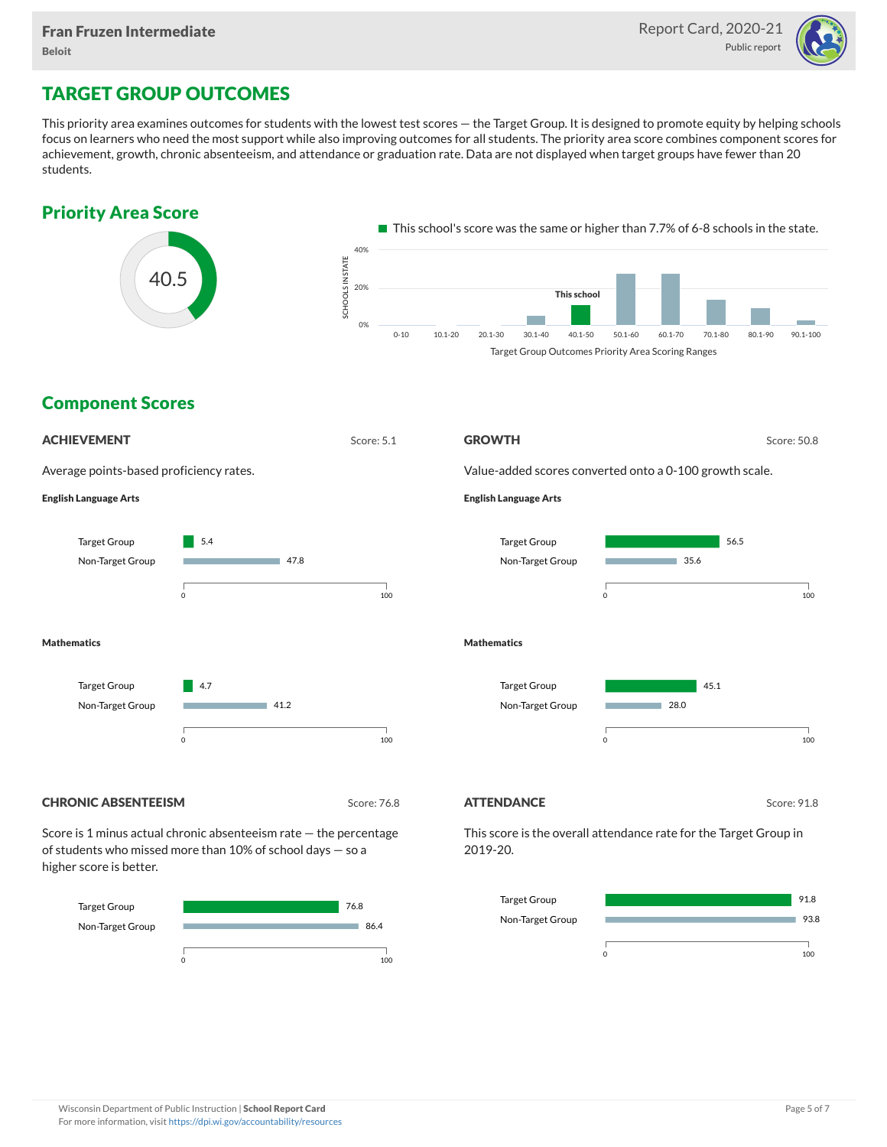

### TARGET GROUP OUTCOMES

This priority area examines outcomes for students with the lowest test scores — the Target Group. It is designed to promote equity by helping schools focus on learners who need the most support while also improving outcomes for all students. The priority area score combines component scores for achievement, growth, chronic absenteeism, and attendance or graduation rate. Data are not displayed when target groups have fewer than 20 students.





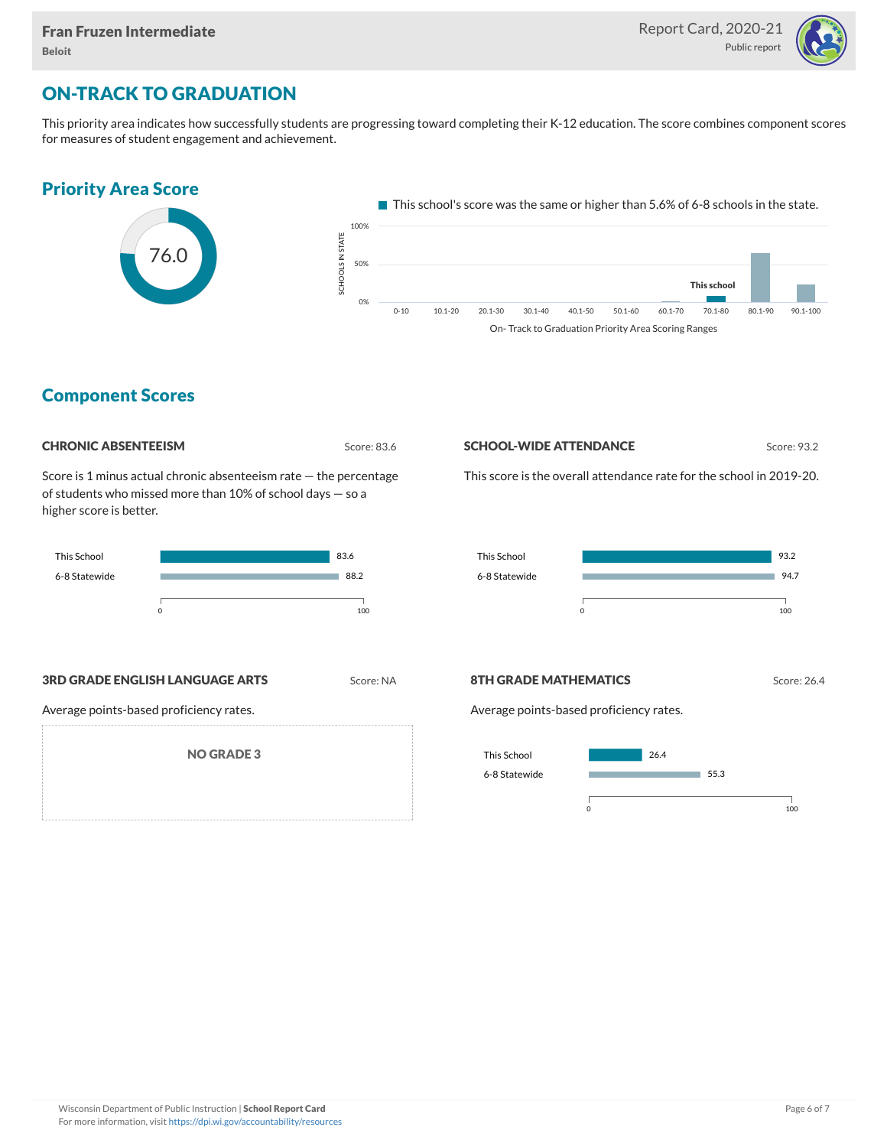

### ON-TRACK TO GRADUATION

This priority area indicates how successfully students are progressing toward completing their K-12 education. The score combines component scores for measures of student engagement and achievement.



### Component Scores